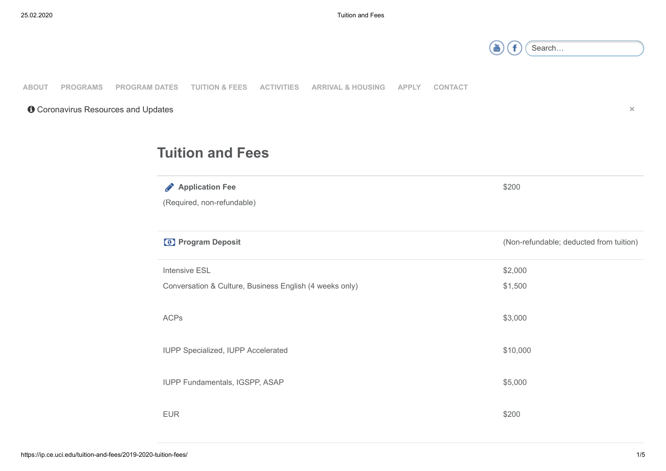## 25.02.2020 Tuton and Fees

| ⊶arch… |  |
|--------|--|
|        |  |

\$200

## **[ABOUT](https://ip.ce.uci.edu/about/) [PROGRAMS](https://ip.ce.uci.edu/programs/) [PROGRAM DATES](https://ip.ce.uci.edu/program-dates/) [TUITION & FEES](https://ip.ce.uci.edu/tuition-and-fees/2019-2020-tuition-fees/) [ACTIVITIES](https://ip.ce.uci.edu/activities/) [ARRIVAL & HOUSING](https://ip.ce.uci.edu/arrival-housing/) [APPLY](https://ip.ce.uci.edu/apply-now/) [CONTACT](https://ip.ce.uci.edu/contact-us/)**

**O** [Coronavirus Resources and Updates](https://ip.ce.uci.edu/wp-content/uploads/Coronavirus-nCoV-FAQ.pdf)

## **Tuition and Fees**

**Application Fee** 

(Required, non-refundable)

| <sup>0</sup> Program Deposit                            | (Non-refundable; deducted from tuition) |
|---------------------------------------------------------|-----------------------------------------|
| <b>Intensive ESL</b>                                    | \$2,000                                 |
| Conversation & Culture, Business English (4 weeks only) | \$1,500                                 |
| <b>ACPs</b>                                             | \$3,000                                 |
| IUPP Specialized, IUPP Accelerated                      | \$10,000                                |
| IUPP Fundamentals, IGSPP, ASAP                          | \$5,000                                 |
| <b>EUR</b>                                              | \$200                                   |

**×**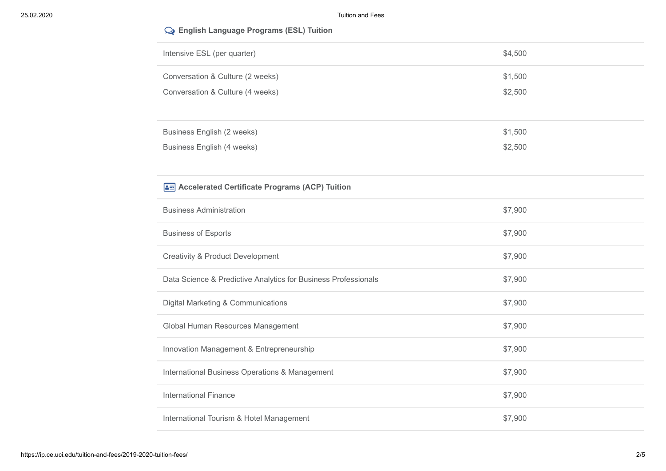| Intensive ESL (per quarter)                                    | \$4,500 |
|----------------------------------------------------------------|---------|
| Conversation & Culture (2 weeks)                               | \$1,500 |
| Conversation & Culture (4 weeks)                               | \$2,500 |
|                                                                |         |
| <b>Business English (2 weeks)</b>                              | \$1,500 |
| <b>Business English (4 weeks)</b>                              | \$2,500 |
|                                                                |         |
| Accelerated Certificate Programs (ACP) Tuition                 |         |
| <b>Business Administration</b>                                 | \$7,900 |
| <b>Business of Esports</b>                                     | \$7,900 |
| <b>Creativity &amp; Product Development</b>                    | \$7,900 |
| Data Science & Predictive Analytics for Business Professionals | \$7,900 |
| Digital Marketing & Communications                             | \$7,900 |
| Global Human Resources Management                              | \$7,900 |
| Innovation Management & Entrepreneurship                       | \$7,900 |
| International Business Operations & Management                 | \$7,900 |
| <b>International Finance</b>                                   | \$7,900 |
| International Tourism & Hotel Management                       | \$7,900 |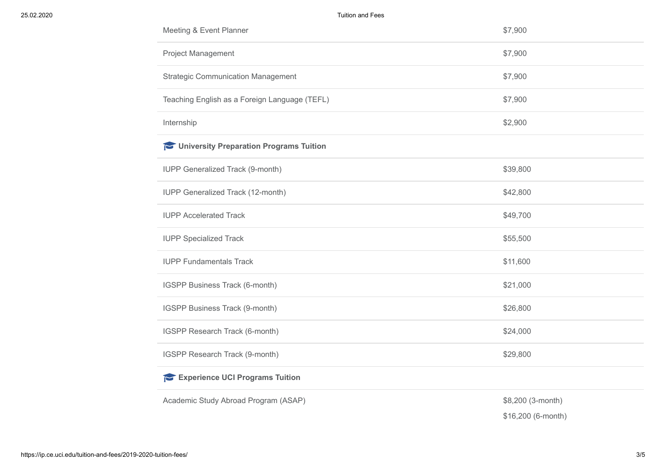| Meeting & Event Planner                       | \$7,900           |  |  |
|-----------------------------------------------|-------------------|--|--|
| Project Management                            | \$7,900           |  |  |
| <b>Strategic Communication Management</b>     | \$7,900           |  |  |
| Teaching English as a Foreign Language (TEFL) | \$7,900           |  |  |
| Internship                                    | \$2,900           |  |  |
| University Preparation Programs Tuition       |                   |  |  |
| IUPP Generalized Track (9-month)              | \$39,800          |  |  |
| <b>IUPP Generalized Track (12-month)</b>      | \$42,800          |  |  |
| <b>IUPP Accelerated Track</b>                 | \$49,700          |  |  |
| <b>IUPP Specialized Track</b>                 | \$55,500          |  |  |
| <b>IUPP Fundamentals Track</b>                | \$11,600          |  |  |
| IGSPP Business Track (6-month)                | \$21,000          |  |  |
| IGSPP Business Track (9-month)                | \$26,800          |  |  |
| IGSPP Research Track (6-month)                | \$24,000          |  |  |
| IGSPP Research Track (9-month)                | \$29,800          |  |  |
| Experience UCI Programs Tuition               |                   |  |  |
| Academic Study Abroad Program (ASAP)          | \$8,200 (3-month) |  |  |

\$16,200 (6-month)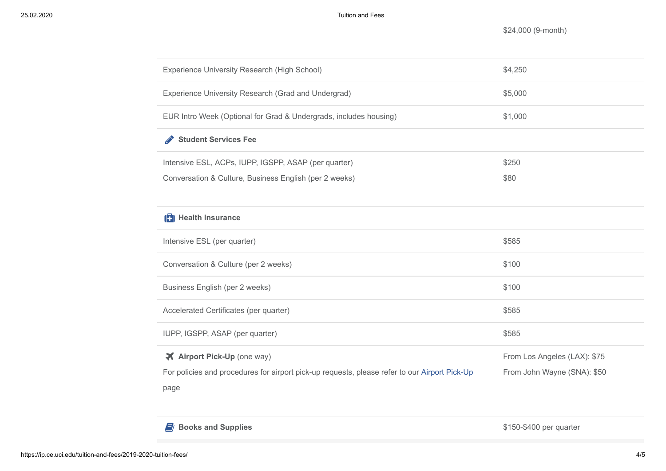\$24,000 (9-month)

| Experience University Research (High School)                                                  | \$4,250                      |
|-----------------------------------------------------------------------------------------------|------------------------------|
| Experience University Research (Grad and Undergrad)                                           | \$5,000                      |
| EUR Intro Week (Optional for Grad & Undergrads, includes housing)                             | \$1,000                      |
| <b>Student Services Fee</b><br><b>Contract Contract Contract</b>                              |                              |
| Intensive ESL, ACPs, IUPP, IGSPP, ASAP (per quarter)                                          | \$250                        |
| Conversation & Culture, Business English (per 2 weeks)                                        | \$80                         |
|                                                                                               |                              |
| <b>121</b> Health Insurance                                                                   |                              |
| Intensive ESL (per quarter)                                                                   | \$585                        |
| Conversation & Culture (per 2 weeks)                                                          | \$100                        |
| Business English (per 2 weeks)                                                                | \$100                        |
| Accelerated Certificates (per quarter)                                                        | \$585                        |
| IUPP, IGSPP, ASAP (per quarter)                                                               | \$585                        |
| <b>X</b> Airport Pick-Up (one way)                                                            | From Los Angeles (LAX): \$75 |
| For policies and procedures for airport pick-up requests, please refer to our Airport Pick-Up | From John Wayne (SNA): \$50  |
| page                                                                                          |                              |

**Books and Supplies Books and Supplies Books and Supplies Books and Supplies \$150-\$400 per quarter**